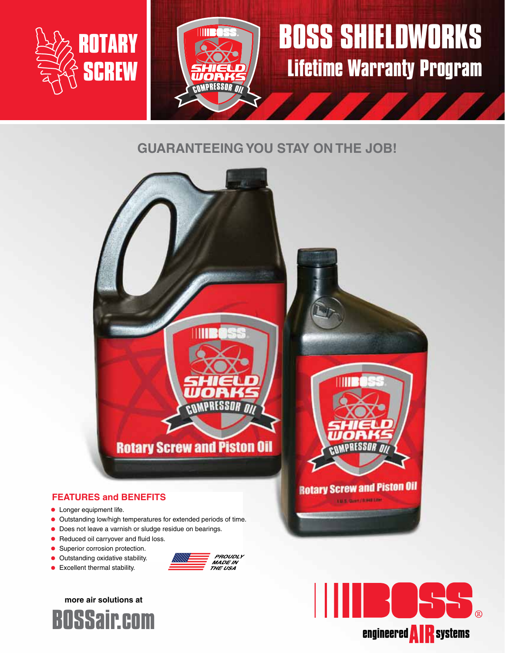

# **BOSS SHIELDWORKS Lifetime Warranty Program**

### **GUARANTEEING YOU STAY ON THE JOB!**

WORK! **COMPRESSOR** 



### **FEATURES and BENEFITS**

- **•** Longer equipment life.
- **•** Outstanding low/high temperatures for extended periods of time.
- **•** Does not leave a varnish or sludge residue on bearings.
- **•** Reduced oil carryover and fluid loss.
- **•** Superior corrosion protection.
- **•** Outstanding oxidative stability.
- **•** Excellent thermal stability.







**LUS SURFACER UP**